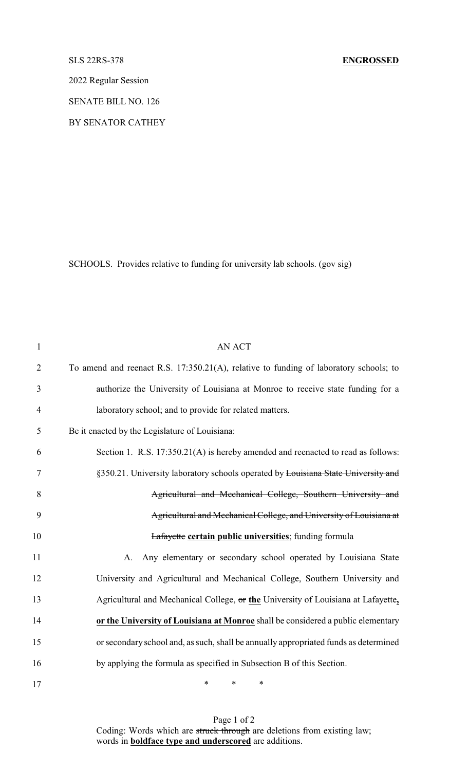2022 Regular Session

SENATE BILL NO. 126

BY SENATOR CATHEY

SCHOOLS. Provides relative to funding for university lab schools. (gov sig)

| $\mathbf{1}$   | <b>AN ACT</b>                                                                         |
|----------------|---------------------------------------------------------------------------------------|
| $\overline{2}$ | To amend and reenact R.S. 17:350.21(A), relative to funding of laboratory schools; to |
| 3              | authorize the University of Louisiana at Monroe to receive state funding for a        |
| $\overline{4}$ | laboratory school; and to provide for related matters.                                |
| 5              | Be it enacted by the Legislature of Louisiana:                                        |
| 6              | Section 1. R.S. 17:350.21(A) is hereby amended and reenacted to read as follows:      |
| 7              | §350.21. University laboratory schools operated by Louisiana State University and     |
| 8              | Agricultural and Mechanical College, Southern University and                          |
| 9              | Agricultural and Mechanical College, and University of Louisiana at                   |
| 10             | Lafayette certain public universities; funding formula                                |
| 11             | Any elementary or secondary school operated by Louisiana State<br>A.                  |
| 12             | University and Agricultural and Mechanical College, Southern University and           |
| 13             | Agricultural and Mechanical College, or the University of Louisiana at Lafayette,     |
| 14             | or the University of Louisiana at Monroe shall be considered a public elementary      |
| 15             | or secondary school and, as such, shall be annually appropriated funds as determined  |
| 16             | by applying the formula as specified in Subsection B of this Section.                 |
| 17             | $\ast$<br>$\ast$<br>∗                                                                 |

Page 1 of 2 Coding: Words which are struck through are deletions from existing law; words in **boldface type and underscored** are additions.